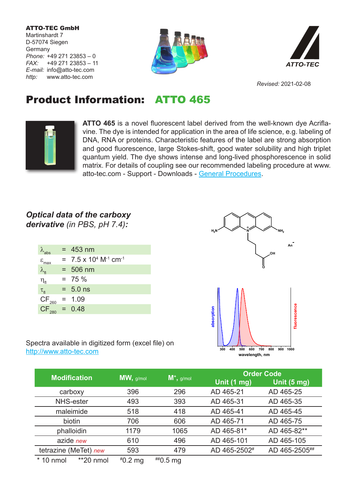ATTO-TEC GmbH Martinshardt 7 D-57074 Siegen Germany *Phone:* +49 271 23853 – 0 *FAX:* +49 271 23853 – 11 *E-mail:* info@atto-tec.com *http:* www.atto-tec.com





*Revised:* 2021-02-08

## Product Information: ATTO 465



**ATTO 465** is a novel fluorescent label derived from the well-known dye Acriflavine. The dye is intended for application in the area of life science, e.g. labeling of DNA, RNA or proteins. Characteristic features of the label are strong absorption and good fluorescence, large Stokes-shift, good water solubility and high triplet quantum yield. The dye shows intense and long-lived phosphorescence in solid matrix. For details of coupling see our recommended labeling procedure at www. atto-tec.com - Support - Downloads - General Procedures.

## *Optical data of the carboxy derivative (in PBS, pH 7.4):*

| $\lambda$ <sub>abs</sub> | $= 453$ nm                                             |
|--------------------------|--------------------------------------------------------|
| $\epsilon_{\text{max}}$  | $= 7.5 \times 10^{4}$ M <sup>-1</sup> cm <sup>-1</sup> |
| $\lambda_{\rm fl}$       | $= 506$ nm                                             |
| $\eta_{\text{fl}}$       | $= 75 \%$                                              |
| $\tau_{\rm fl}$          | $= 5.0$ ns                                             |
| $CF_{260}$               | $= 1.09$                                               |
| $CF_{280} = 0.48$        |                                                        |
|                          |                                                        |



Spectra available in digitized form (excel file) on http://www.atto-tec.com

| <b>Modification</b>       |           | $M^*$ , g/mol   | <b>Order Code</b> |               |
|---------------------------|-----------|-----------------|-------------------|---------------|
|                           | MW, g/mol |                 | Unit (1 mg)       | Unit (5 mg)   |
| carboxy                   | 396       | 296             | AD 465-21         | AD 465-25     |
| NHS-ester                 | 493       | 393             | AD 465-31         | AD 465-35     |
| maleimide                 | 518       | 418             | AD 465-41         | AD 465-45     |
| biotin                    | 706       | 606             | AD 465-71         | AD 465-75     |
| phalloidin                | 1179      | 1065            | AD 465-81*        | AD 465-82**   |
| azide new                 | 610       | 496             | AD 465-101        | AD 465-105    |
| tetrazine (MeTet) new     | 593       | 479             | AD 465-2502#      | AD 465-2505## |
| $*$ 10 nmol<br>$*20$ nmol | $*0.2$ mg | $^{***}$ 0.5 mg |                   |               |